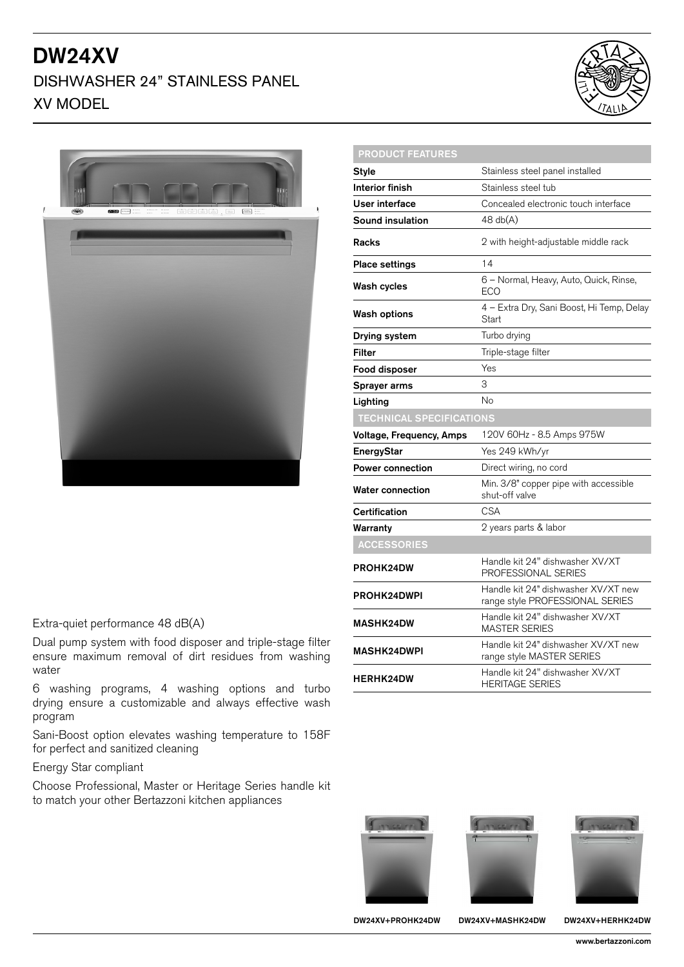# DW24XV

### DISHWASHER 24" STAINLESS PANEL XV MODEL



| <b>Style</b>                    | Stainless steel panel installed                                        |
|---------------------------------|------------------------------------------------------------------------|
| Interior finish                 | Stainless steel tub                                                    |
|                                 |                                                                        |
| User interface                  | Concealed electronic touch interface                                   |
| <b>Sound insulation</b>         | 48 db(A)                                                               |
| <b>Racks</b>                    | 2 with height-adjustable middle rack                                   |
| <b>Place settings</b>           | 14                                                                     |
| Wash cycles                     | 6 - Normal, Heavy, Auto, Quick, Rinse,<br><b>ECO</b>                   |
| <b>Wash options</b>             | 4 - Extra Dry, Sani Boost, Hi Temp, Delay<br>Start                     |
| Drying system                   | Turbo drying                                                           |
| Filter                          | Triple-stage filter                                                    |
| Food disposer                   | Yes                                                                    |
| Sprayer arms                    | 3                                                                      |
| Lighting                        | No                                                                     |
| <b>TECHNICAL SPECIFICATIONS</b> |                                                                        |
| Voltage, Frequency, Amps        | 120V 60Hz - 8.5 Amps 975W                                              |
| <b>EnergyStar</b>               | Yes 249 kWh/yr                                                         |
| <b>Power connection</b>         | Direct wiring, no cord                                                 |
| <b>Water connection</b>         | Min. 3/8" copper pipe with accessible<br>shut-off valve                |
| Certification                   | <b>CSA</b>                                                             |
| Warranty                        | 2 years parts & labor                                                  |
| <b>ACCESSORIES</b>              |                                                                        |
| <b>PROHK24DW</b>                | Handle kit 24" dishwasher XV/XT<br>PROFESSIONAL SERIES                 |
| <b>PROHK24DWPI</b>              | Handle kit 24" dishwasher XV/XT new<br>range style PROFESSIONAL SERIES |
| <b>MASHK24DW</b>                | Handle kit 24" dishwasher XV/XT<br>MASTER SERIES                       |
| <b>MASHK24DWPI</b>              | Handle kit 24" dishwasher XV/XT new<br>range style MASTER SERIES       |
| <b>HERHK24DW</b>                | Handle kit 24" dishwasher XV/XT<br><b>HERITAGE SERIES</b>              |

#### Extra-quiet performance 48 dB(A)

Dual pump system with food disposer and triple-stage filter ensure maximum removal of dirt residues from washing water

6 washing programs, 4 washing options and turbo drying ensure a customizable and always effective wash program

Sani-Boost option elevates washing temperature to 158F for perfect and sanitized cleaning

Energy Star compliant

Choose Professional, Master or Heritage Series handle kit to match your other Bertazzoni kitchen appliances



PRODUCT FEATURES





DW24XV+PROHK24DW DW24XV+MASHK24DW DW24XV+HERHK24DW